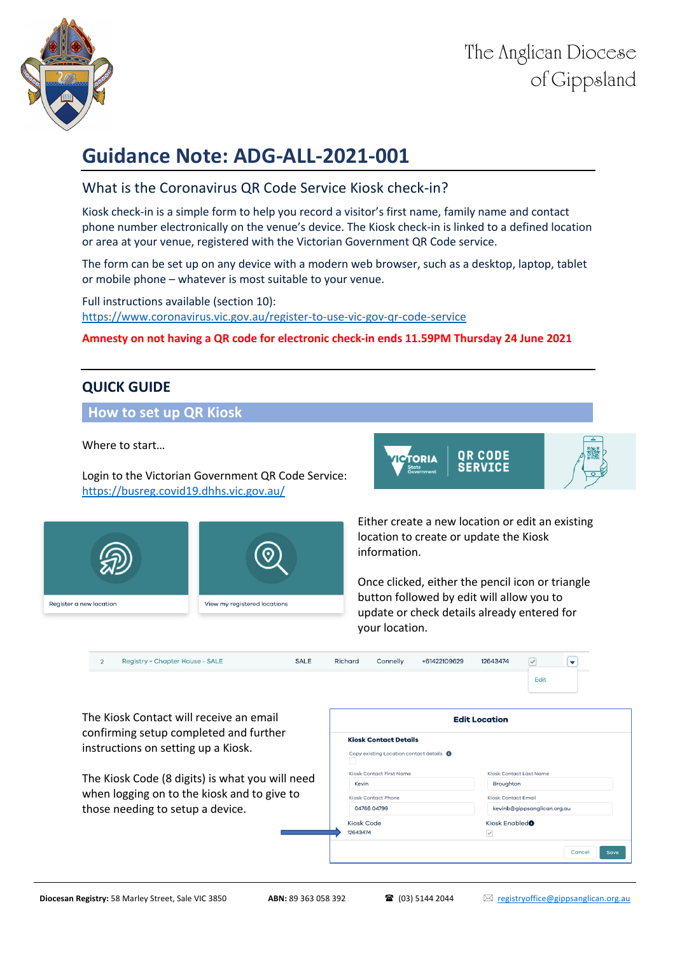

# **Guidance Note: ADG-ALL-2021-001**

### What is the Coronavirus QR Code Service Kiosk check-in?

Kiosk check-in is a simple form to help you record a visitor's first name, family name and contact phone number electronically on the venue's device. The Kiosk check-in is linked to a defined location or area at your venue, registered with the Victorian Government QR Code service.

The form can be set up on any device with a modern web browser, such as a desktop, laptop, tablet or mobile phone – whatever is most suitable to your venue.

Full instructions available (section 10): https://www.coronavirus.vic.gov.au/register-to-use-vic-gov-qr-code-service

#### **Amnesty on not having a QR code for electronic check-in ends 11.59PM Thursday 24 June 2021**

## **QUICK GUIDE**

#### **How to set up QR Kiosk**

Where to start…

Register a new location



Login to the Victorian Government QR Code Service: https://busreg.covid19.dhhs.vic.gov.au/

View my registered locations



Once clicked, either the pencil icon or triangle button followed by edit will allow you to update or check details already entered for your location.

| Registry ~ Chapter House - SALE<br><b>SALE</b><br>$\overline{2}$              | Richard<br>Connelly                                                      | +61422109629<br>12643474<br>$\vee$<br>$\overline{\phantom{a}}$<br>Edit |  |
|-------------------------------------------------------------------------------|--------------------------------------------------------------------------|------------------------------------------------------------------------|--|
| The Kiosk Contact will receive an email                                       | <b>Edit Location</b>                                                     |                                                                        |  |
| confirming setup completed and further<br>instructions on setting up a Kiosk. | <b>Kiosk Contact Details</b><br>Copy existing Location contact details @ |                                                                        |  |
|                                                                               | Kiosk Contact First Name                                                 | Kiosk Contact Last Name                                                |  |
| The Kiosk Code (8 digits) is what you will need                               | Kevin                                                                    | Broughton                                                              |  |
| when logging on to the kiosk and to give to                                   | Kiosk Contact Phone                                                      | Kiosk Contact Email                                                    |  |
| those needing to setup a device.                                              | 04766 04799                                                              | kevinb@gippsanglican.org.au                                            |  |
|                                                                               | Kiosk Code                                                               | Kiosk Enabled <sup>®</sup>                                             |  |
|                                                                               | 12643474                                                                 | $\overline{\mathcal{S}}$                                               |  |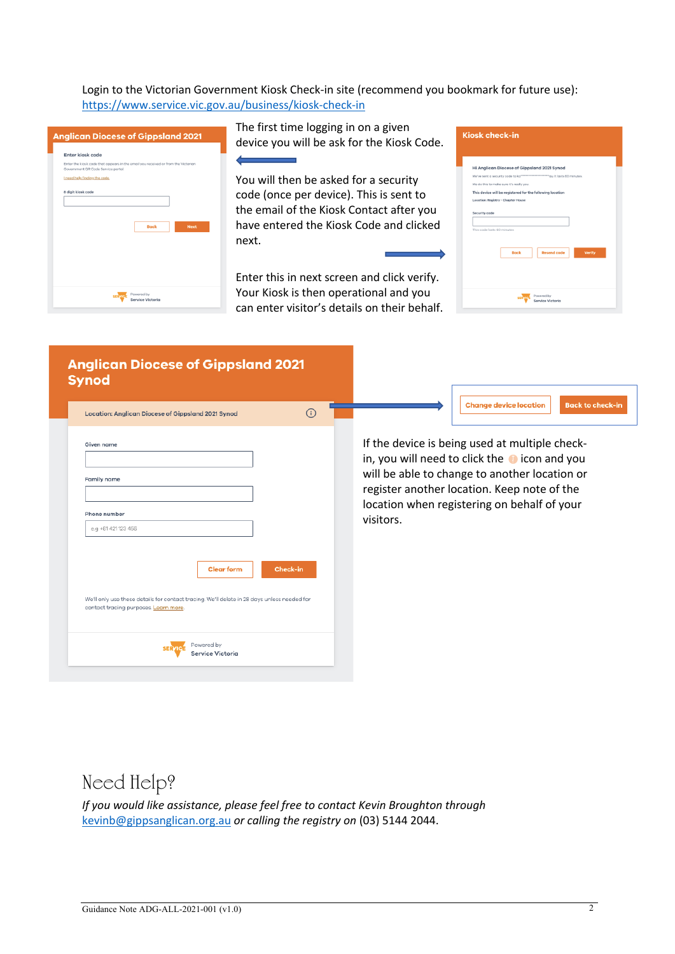Login to the Victorian Government Kiosk Check-in site (recommend you bookmark for future use): https://www.service.vic.gov.au/business/kiosk-check-in

| Enter kiosk code                   |                                                                                   |             |
|------------------------------------|-----------------------------------------------------------------------------------|-------------|
|                                    | Enter the kiosk code that appears in the email you received or from the Victorian |             |
| Government QR Code Service portal. |                                                                                   |             |
| I need help finding the code.      |                                                                                   |             |
| 8 digit kiosk code                 |                                                                                   |             |
|                                    |                                                                                   |             |
|                                    |                                                                                   |             |
|                                    |                                                                                   |             |
|                                    | <b>Back</b>                                                                       | <b>Next</b> |
|                                    |                                                                                   |             |
|                                    |                                                                                   |             |
|                                    |                                                                                   |             |
|                                    |                                                                                   |             |
|                                    |                                                                                   |             |
|                                    |                                                                                   |             |

The first time logging in on a given device you will be ask for the Kiosk Code.

You will then be asked for a security code (once per device). This is sent to the email of the Kiosk Contact after you have entered the Kiosk Code and clicked next.

Enter this in next screen and click verify. Your Kiosk is then operational and you can enter visitor's details on their behalf.

|                            | <b>Kiosk check-in</b>                                     |
|----------------------------|-----------------------------------------------------------|
|                            |                                                           |
|                            | Hi Anglican Diocese of Gippsland 2021 Synod               |
|                            |                                                           |
|                            | We do this to make sure it's really you.                  |
|                            | This device will be registered for the following location |
|                            | Location: Registry - Chapter House                        |
| This code lasts 60 minutes |                                                           |
|                            |                                                           |
|                            | <b>Resend code</b><br><b>Back</b><br>Verify               |
|                            |                                                           |
|                            |                                                           |
|                            |                                                           |
|                            | Powered by<br><b>SEDVI</b>                                |

| <b>Anglican Diocese of Gippsland 2021</b><br><b>Synod</b><br><b>Location: Anglican Diocese of Gippsland 2021 Synod</b>                                    | $\odot$  | <b>Change device location</b><br><b>Back to check-in</b>                                                                                                                                                                                                            |
|-----------------------------------------------------------------------------------------------------------------------------------------------------------|----------|---------------------------------------------------------------------------------------------------------------------------------------------------------------------------------------------------------------------------------------------------------------------|
| Given name<br><b>Family name</b><br>Phone number<br>e.g +61 421 123 456                                                                                   |          | If the device is being used at multiple check-<br>in, you will need to click the $\bullet$ icon and you<br>will be able to change to another location or<br>register another location. Keep note of the<br>location when registering on behalf of your<br>visitors. |
| <b>Clear form</b><br>We'll only use these details for contact tracing. We'll delete in 28 days unless needed for<br>contact tracing purposes. Learn more. | Check-in |                                                                                                                                                                                                                                                                     |
| Powered by<br>Service Victoria                                                                                                                            |          |                                                                                                                                                                                                                                                                     |

# Need Help?

*If you would like assistance, please feel free to contact Kevin Broughton through* kevinb@gippsanglican.org.au *or calling the registry on* (03) 5144 2044.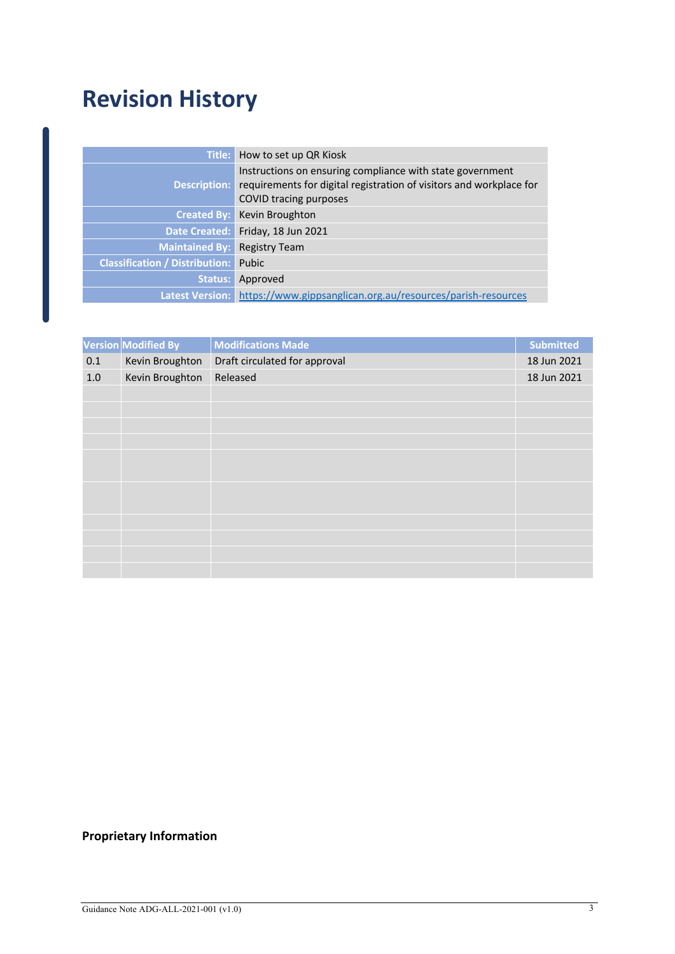# **Revision History**

| Title:                                | How to set up QR Kiosk                                                                                                                                            |
|---------------------------------------|-------------------------------------------------------------------------------------------------------------------------------------------------------------------|
| <b>Description:</b>                   | Instructions on ensuring compliance with state government<br>requirements for digital registration of visitors and workplace for<br><b>COVID tracing purposes</b> |
| Created By:                           | Kevin Broughton                                                                                                                                                   |
| Date Created:                         | Friday, 18 Jun 2021                                                                                                                                               |
| <b>Maintained By:</b>                 | <b>Registry Team</b>                                                                                                                                              |
| <b>Classification / Distribution:</b> | Pubic                                                                                                                                                             |
| Status:                               | Approved                                                                                                                                                          |
| Latest Version:                       | https://www.gippsanglican.org.au/resources/parish-resources                                                                                                       |

|         | Version Modified By | <b>Modifications Made</b>     | <b>Submitted</b> |
|---------|---------------------|-------------------------------|------------------|
| 0.1     | Kevin Broughton     | Draft circulated for approval | 18 Jun 2021      |
| $1.0\,$ | Kevin Broughton     | Released                      | 18 Jun 2021      |
|         |                     |                               |                  |
|         |                     |                               |                  |
|         |                     |                               |                  |
|         |                     |                               |                  |
|         |                     |                               |                  |
|         |                     |                               |                  |
|         |                     |                               |                  |
|         |                     |                               |                  |
|         |                     |                               |                  |
|         |                     |                               |                  |
|         |                     |                               |                  |
|         |                     |                               |                  |

## **Proprietary Information**